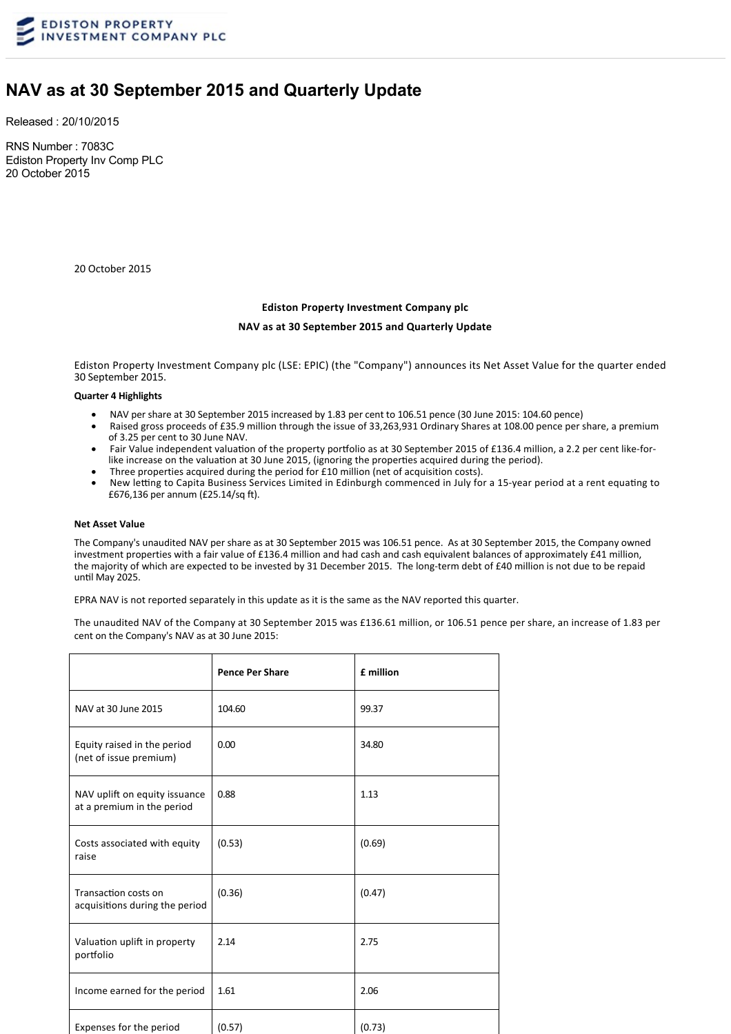

# **NAV as at 30 September 2015 and Quarterly Update**

Released : 20/10/2015

RNS Number : 7083C Ediston Property Inv Comp PLC 20 October 2015

20 October 2015

#### **Ediston Property Investment Company plc**

#### **NAV as at 30 September 2015 and Quarterly Update**

Ediston Property Investment Company plc (LSE: EPIC) (the "Company") announces its Net Asset Value for the quarter ended 30 September 2015.

# **Quarter 4 Highlights**

- · NAV per share at 30 September 2015 increased by 1.83 per cent to 106.51 pence (30 June 2015: 104.60 pence)
- Raised gross proceeds of £35.9 million through the issue of 33,263,931 Ordinary Shares at 108.00 pence per share, a premium of 3.25 per cent to 30 June NAV.
- Fair Value independent valuation of the property portfolio as at 30 September 2015 of £136.4 million, a 2.2 per cent like-forlike increase on the valuation at 30 June 2015, (ignoring the properties acquired during the period).
- Three properties acquired during the period for £10 million (net of acquisition costs).
- New letting to Capita Business Services Limited in Edinburgh commenced in July for a 15-year period at a rent equating to £676,136 per annum (£25.14/sq ft).

#### **Net Asset Value**

The Company's unaudited NAV per share as at 30 September 2015 was 106.51 pence. As at 30 September 2015, the Company owned investment properties with a fair value of £136.4 million and had cash and cash equivalent balances of approximately £41 million, the majority of which are expected to be invested by 31 December 2015. The long-term debt of £40 million is not due to be repaid until May 2025.

EPRA NAV is not reported separately in this update as it is the same as the NAV reported this quarter.

The unaudited NAV of the Company at 30 September 2015 was £136.61 million, or 106.51 pence per share, an increase of 1.83 per cent on the Company's NAV as at 30 June 2015:

|                                                             | <b>Pence Per Share</b> | £ million |
|-------------------------------------------------------------|------------------------|-----------|
| NAV at 30 June 2015                                         | 104.60                 | 99.37     |
| Equity raised in the period<br>(net of issue premium)       | 0.00                   | 34.80     |
| NAV uplift on equity issuance<br>at a premium in the period | 0.88                   | 1.13      |
| Costs associated with equity<br>raise                       | (0.53)                 | (0.69)    |
| Transaction costs on<br>acquisitions during the period      | (0.36)                 | (0.47)    |
| Valuation uplift in property<br>portfolio                   | 2.14                   | 2.75      |
| Income earned for the period                                | 1.61                   | 2.06      |
| Expenses for the period                                     | (0.57)                 | (0.73)    |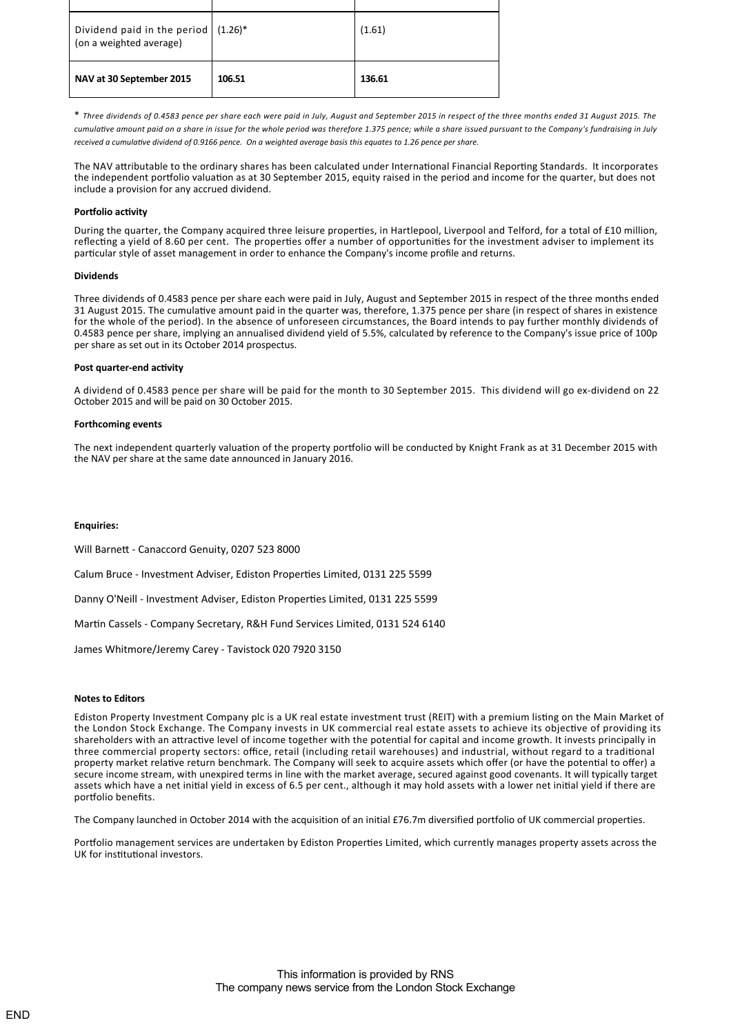| Dividend paid in the period $(1.26)^*$<br>(on a weighted average) |        | (1.61) |
|-------------------------------------------------------------------|--------|--------|
| NAV at 30 September 2015                                          | 106.51 | 136.61 |

\* *Three dividends of 0.4583 pence per share each were paid in July, August and September 2015 in respect of the three months ended 31 August 2015. The cumula ve amount paid on a share in issue for the whole period was therefore 1.375 pence; while a share issued pursuant to the Company's fundraising in July received a cumula ve dividend of 0.9166 pence. On a weighted average basis this equates to 1.26 pence per share.*

The NAV attributable to the ordinary shares has been calculated under International Financial Reporting Standards. It incorporates the independent portfolio valuation as at 30 September 2015, equity raised in the period and income for the quarter, but does not include a provision for any accrued dividend.

## **Portfolio activity**

During the quarter, the Company acquired three leisure properties, in Hartlepool, Liverpool and Telford, for a total of £10 million, reflecting a yield of 8.60 per cent. The properties offer a number of opportunities for the investment adviser to implement its particular style of asset management in order to enhance the Company's income profile and returns.

## **Dividends**

Three dividends of 0.4583 pence per share each were paid in July, August and September 2015 in respect of the three months ended 31 August 2015. The cumulative amount paid in the quarter was, therefore, 1.375 pence per share (in respect of shares in existence for the whole of the period). In the absence of unforeseen circumstances, the Board intends to pay further monthly dividends of 0.4583 pence per share, implying an annualised dividend yield of 5.5%, calculated by reference to the Company's issue price of 100p per share as set out in its October 2014 prospectus.

#### **Post quarter-end activity**

A dividend of 0.4583 pence per share will be paid for the month to 30 September 2015. This dividend will go ex‐dividend on 22 October 2015 and will be paid on 30 October 2015.

#### **Forthcoming events**

The next independent quarterly valuation of the property portfolio will be conducted by Knight Frank as at 31 December 2015 with the NAV per share at the same date announced in January 2016.

## **Enquiries:**

Will Barnett - Canaccord Genuity, 0207 523 8000

Calum Bruce - Investment Adviser, Ediston Properties Limited, 0131 225 5599

Danny O'Neill - Investment Adviser, Ediston Properties Limited, 0131 225 5599

Martin Cassels - Company Secretary, R&H Fund Services Limited, 0131 524 6140

James Whitmore/Jeremy Carey ‐ Tavistock 020 7920 3150

## **Notes to Editors**

Ediston Property Investment Company plc is a UK real estate investment trust (REIT) with a premium listing on the Main Market of the London Stock Exchange. The Company invests in UK commercial real estate assets to achieve its objective of providing its shareholders with an attractive level of income together with the potential for capital and income growth. It invests principally in three commercial property sectors: office, retail (including retail warehouses) and industrial, without regard to a traditional property market rela ve return benchmark. The Company will seek to acquire assets which offer (or have the poten al to offer) a secure income stream, with unexpired terms in line with the market average, secured against good covenants. It will typically target assets which have a net initial yield in excess of 6.5 per cent., although it may hold assets with a lower net initial yield if there are portfolio benefits.

The Company launched in October 2014 with the acquisition of an initial £76.7m diversified portfolio of UK commercial properties.

Portfolio management services are undertaken by Ediston Properties Limited, which currently manages property assets across the UK for institutional investors.